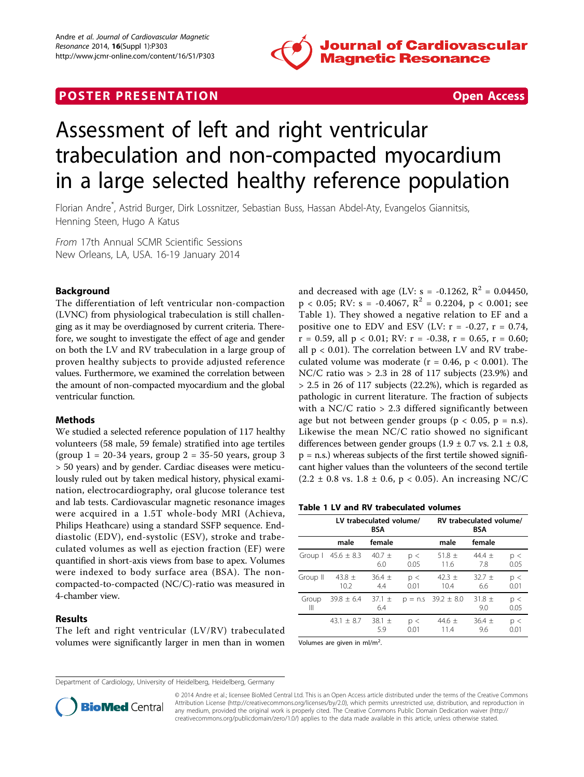

# **POSTER PRESENTATION CONSUMING THE SECOND CONSUMING THE SECOND CONSUMING THE SECOND CONSUMING THE SECOND CONSUMING THE SECOND CONSUMING THE SECOND CONSUMING THE SECOND CONSUMING THE SECOND CONSUMING THE SECOND CONSUMING**



# Assessment of left and right ventricular trabeculation and non-compacted myocardium in a large selected healthy reference population

Florian Andre\* , Astrid Burger, Dirk Lossnitzer, Sebastian Buss, Hassan Abdel-Aty, Evangelos Giannitsis, Henning Steen, Hugo A Katus

From 17th Annual SCMR Scientific Sessions New Orleans, LA, USA. 16-19 January 2014

# Background

The differentiation of left ventricular non-compaction (LVNC) from physiological trabeculation is still challenging as it may be overdiagnosed by current criteria. Therefore, we sought to investigate the effect of age and gender on both the LV and RV trabeculation in a large group of proven healthy subjects to provide adjusted reference values. Furthermore, we examined the correlation between the amount of non-compacted myocardium and the global ventricular function.

## Methods

We studied a selected reference population of 117 healthy volunteers (58 male, 59 female) stratified into age tertiles (group  $1 = 20-34$  years, group  $2 = 35-50$  years, group 3 > 50 years) and by gender. Cardiac diseases were meticulously ruled out by taken medical history, physical examination, electrocardiography, oral glucose tolerance test and lab tests. Cardiovascular magnetic resonance images were acquired in a 1.5T whole-body MRI (Achieva, Philips Heathcare) using a standard SSFP sequence. Enddiastolic (EDV), end-systolic (ESV), stroke and trabeculated volumes as well as ejection fraction (EF) were quantified in short-axis views from base to apex. Volumes were indexed to body surface area (BSA). The noncompacted-to-compacted (NC/C)-ratio was measured in 4-chamber view.

#### Results

The left and right ventricular (LV/RV) trabeculated volumes were significantly larger in men than in women and decreased with age (LV: s = -0.1262,  $R^2$  = 0.04450,  $p < 0.05$ ; RV: s = -0.4067, R<sup>2</sup> = 0.2204, p < 0.001; see Table 1). They showed a negative relation to EF and a positive one to EDV and ESV (LV:  $r = -0.27$ ,  $r = 0.74$ ,  $r = 0.59$ , all  $p < 0.01$ ; RV:  $r = -0.38$ ,  $r = 0.65$ ,  $r = 0.60$ ; all  $p < 0.01$ ). The correlation between LV and RV trabeculated volume was moderate ( $r = 0.46$ ,  $p < 0.001$ ). The NC/C ratio was > 2.3 in 28 of 117 subjects (23.9%) and > 2.5 in 26 of 117 subjects (22.2%), which is regarded as pathologic in current literature. The fraction of subjects with a NC/C ratio  $> 2.3$  differed significantly between age but not between gender groups ( $p < 0.05$ ,  $p = n.s$ ). Likewise the mean NC/C ratio showed no significant differences between gender groups  $(1.9 \pm 0.7 \text{ vs. } 2.1 \pm 0.8,$  $p = n.s$ ) whereas subjects of the first tertile showed significant higher values than the volunteers of the second tertile  $(2.2 \pm 0.8 \text{ vs. } 1.8 \pm 0.6, \, p < 0.05)$ . An increasing NC/C

| Table 1 LV and RV trabeculated volumes |  |  |
|----------------------------------------|--|--|
|----------------------------------------|--|--|

|            | LV trabeculated volume/<br><b>BSA</b> |                   |             | RV trabeculated volume/<br><b>BSA</b> |                     |             |
|------------|---------------------------------------|-------------------|-------------|---------------------------------------|---------------------|-------------|
|            | male                                  | female            |             | male                                  | female              |             |
| Group I    | $45.6 \pm 8.3$                        | 40.7 $\pm$<br>6.0 | p <<br>0.05 | 51.8 $\pm$<br>11.6                    | 44.4 $\pm$<br>- 7.8 | p <<br>0.05 |
| Group II   | 43.8 $\pm$<br>10.2 <sup>2</sup>       | $36.4 \pm$<br>4.4 | p <<br>0.01 | 42.3 $\pm$<br>10.4                    | $32.7 +$<br>6.6     | p <<br>0.01 |
| Group<br>Ш | $39.8 \pm 6.4$                        | $37.1 \pm$<br>6.4 |             | $p = n.s$ 39.2 $\pm$ 8.0              | $31.8 \pm$<br>9.0   | p <<br>0.05 |
|            | $43.1 \pm 8.7$                        | 38.1 $\pm$<br>5.9 | p <<br>0.01 | 44.6 $\pm$<br>11.4                    | $36.4 \pm$<br>9.6   | p <<br>0.01 |

Volumes are given in  $ml/m<sup>2</sup>$ . .

Department of Cardiology, University of Heidelberg, Heidelberg, Germany



© 2014 Andre et al.; licensee BioMed Central Ltd. This is an Open Access article distributed under the terms of the Creative Commons Attribution License [\(http://creativecommons.org/licenses/by/2.0](http://creativecommons.org/licenses/by/2.0)), which permits unrestricted use, distribution, and reproduction in any medium, provided the original work is properly cited. The Creative Commons Public Domain Dedication waiver [\(http://](http://creativecommons.org/publicdomain/zero/1.0/) [creativecommons.org/publicdomain/zero/1.0/](http://creativecommons.org/publicdomain/zero/1.0/)) applies to the data made available in this article, unless otherwise stated.